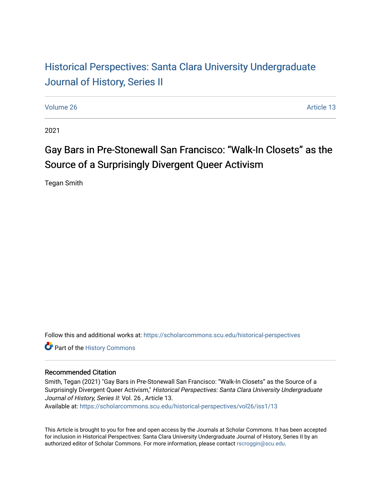## Historical Perspectiv[es: Santa Clara University Under](https://scholarcommons.scu.edu/historical-perspectives)graduate [Journal of History, Series II](https://scholarcommons.scu.edu/historical-perspectives)

[Volume 26](https://scholarcommons.scu.edu/historical-perspectives/vol26) Article 13

2021

# Gay Bars in Pre-Stonewall San Francisco: "Walk-In Closets" as the Source of a Surprisingly Divergent Queer Activism

Tegan Smith

Follow this and additional works at: [https://scholarcommons.scu.edu/historical-perspectives](https://scholarcommons.scu.edu/historical-perspectives?utm_source=scholarcommons.scu.edu%2Fhistorical-perspectives%2Fvol26%2Fiss1%2F13&utm_medium=PDF&utm_campaign=PDFCoverPages) 

Part of the [History Commons](http://network.bepress.com/hgg/discipline/489?utm_source=scholarcommons.scu.edu%2Fhistorical-perspectives%2Fvol26%2Fiss1%2F13&utm_medium=PDF&utm_campaign=PDFCoverPages) 

#### Recommended Citation

Smith, Tegan (2021) "Gay Bars in Pre-Stonewall San Francisco: "Walk-In Closets" as the Source of a Surprisingly Divergent Queer Activism," Historical Perspectives: Santa Clara University Undergraduate Journal of History, Series II: Vol. 26 , Article 13.

Available at: [https://scholarcommons.scu.edu/historical-perspectives/vol26/iss1/13](https://scholarcommons.scu.edu/historical-perspectives/vol26/iss1/13?utm_source=scholarcommons.scu.edu%2Fhistorical-perspectives%2Fvol26%2Fiss1%2F13&utm_medium=PDF&utm_campaign=PDFCoverPages)

This Article is brought to you for free and open access by the Journals at Scholar Commons. It has been accepted for inclusion in Historical Perspectives: Santa Clara University Undergraduate Journal of History, Series II by an authorized editor of Scholar Commons. For more information, please contact [rscroggin@scu.edu](mailto:rscroggin@scu.edu).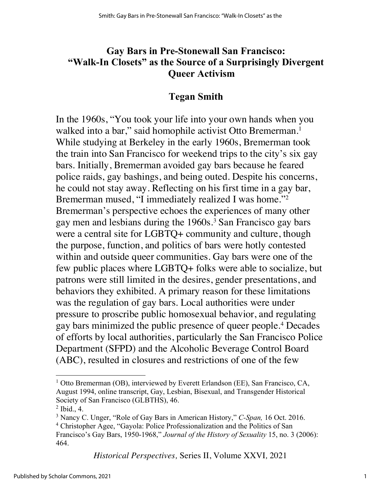### **Gay Bars in Pre-Stonewall San Francisco: "Walk-In Closets" as the Source of a Surprisingly Divergent Queer Activism**

#### **Tegan Smith**

In the 1960s, "You took your life into your own hands when you walked into a bar," said homophile activist Otto Bremerman.<sup>1</sup> While studying at Berkeley in the early 1960s, Bremerman took the train into San Francisco for weekend trips to the city's six gay bars. Initially, Bremerman avoided gay bars because he feared police raids, gay bashings, and being outed. Despite his concerns, he could not stay away. Reflecting on his first time in a gay bar, Bremerman mused, "I immediately realized I was home."2 Bremerman's perspective echoes the experiences of many other gay men and lesbians during the 1960s.3 San Francisco gay bars were a central site for LGBTQ+ community and culture, though the purpose, function, and politics of bars were hotly contested within and outside queer communities. Gay bars were one of the few public places where LGBTQ+ folks were able to socialize, but patrons were still limited in the desires, gender presentations, and behaviors they exhibited. A primary reason for these limitations was the regulation of gay bars. Local authorities were under pressure to proscribe public homosexual behavior, and regulating gay bars minimized the public presence of queer people.4 Decades of efforts by local authorities, particularly the San Francisco Police Department (SFPD) and the Alcoholic Beverage Control Board (ABC), resulted in closures and restrictions of one of the few

*Historical Perspectives,* Series II, Volume XXVI*,* 2021

<sup>&</sup>lt;sup>1</sup> Otto Bremerman (OB), interviewed by Everett Erlandson (EE), San Francisco, CA, August 1994, online transcript, Gay, Lesbian, Bisexual, and Transgender Historical Society of San Francisco (GLBTHS), 46.

 $<sup>2</sup>$  Ibid., 4.</sup>

<sup>3</sup> Nancy C. Unger, "Role of Gay Bars in American History," *C-Span,* 16 Oct. 2016.

<sup>&</sup>lt;sup>4</sup> Christopher Agee, "Gayola: Police Professionalization and the Politics of San

Francisco's Gay Bars, 1950-1968," *Journal of the History of Sexuality* 15, no. 3 (2006): 464.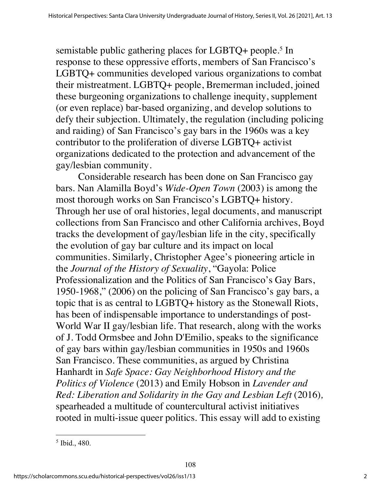semistable public gathering places for LGBTQ+ people.<sup>5</sup> In response to these oppressive efforts, members of San Francisco's LGBTQ+ communities developed various organizations to combat their mistreatment. LGBTQ+ people, Bremerman included, joined these burgeoning organizations to challenge inequity, supplement (or even replace) bar-based organizing, and develop solutions to defy their subjection. Ultimately, the regulation (including policing and raiding) of San Francisco's gay bars in the 1960s was a key contributor to the proliferation of diverse LGBTQ+ activist organizations dedicated to the protection and advancement of the gay/lesbian community.

Considerable research has been done on San Francisco gay bars. Nan Alamilla Boyd's *Wide-Open Town* (2003) is among the most thorough works on San Francisco's LGBTQ+ history. Through her use of oral histories, legal documents, and manuscript collections from San Francisco and other California archives, Boyd tracks the development of gay/lesbian life in the city, specifically the evolution of gay bar culture and its impact on local communities. Similarly, Christopher Agee's pioneering article in the *Journal of the History of Sexuality*, "Gayola: Police Professionalization and the Politics of San Francisco's Gay Bars, 1950-1968," (2006) on the policing of San Francisco's gay bars, a topic that is as central to LGBTQ+ history as the Stonewall Riots, has been of indispensable importance to understandings of post-World War II gay/lesbian life. That research, along with the works of J. Todd Ormsbee and John D'Emilio, speaks to the significance of gay bars within gay/lesbian communities in 1950s and 1960s San Francisco. These communities, as argued by Christina Hanhardt in *Safe Space: Gay Neighborhood History and the Politics of Violence* (2013) and Emily Hobson in *Lavender and Red: Liberation and Solidarity in the Gay and Lesbian Left (2016),* spearheaded a multitude of countercultural activist initiatives rooted in multi-issue queer politics. This essay will add to existing

<sup>5</sup> Ibid., 480.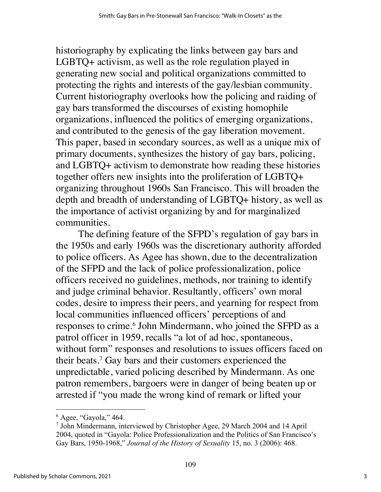historiography by explicating the links between gay bars and LGBTQ+ activism, as well as the role regulation played in generating new social and political organizations committed to protecting the rights and interests of the gay/lesbian community. Current historiography overlooks how the policing and raiding of gay bars transformed the discourses of existing homophile organizations, influenced the politics of emerging organizations, and contributed to the genesis of the gay liberation movement. This paper, based in secondary sources, as well as a unique mix of primary documents, synthesizes the history of gay bars, policing, and LGBTQ+ activism to demonstrate how reading these histories together offers new insights into the proliferation of LGBTQ+ organizing throughout 1960s San Francisco. This will broaden the depth and breadth of understanding of LGBTQ+ history, as well as the importance of activist organizing by and for marginalized communities.

The defining feature of the SFPD's regulation of gay bars in the 1950s and early 1960s was the discretionary authority afforded to police officers. As Agee has shown, due to the decentralization of the SFPD and the lack of police professionalization, police officers received no guidelines, methods, nor training to identify and judge criminal behavior. Resultantly, officers' own moral codes, desire to impress their peers, and yearning for respect from local communities influenced officers' perceptions of and responses to crime.<sup>6</sup> John Mindermann, who joined the SFPD as a patrol officer in 1959, recalls "a lot of ad hoc, spontaneous, without form" responses and resolutions to issues officers faced on their beats.7 Gay bars and their customers experienced the unpredictable, varied policing described by Mindermann. As one patron remembers, bargoers were in danger of being beaten up or arrested if "you made the wrong kind of remark or lifted your

 $6$  Agee, "Gayola," 464.

<sup>7</sup> John Mindermann, interviewed by Christopher Agee, 29 March 2004 and 14 April 2004, quoted in "Gayola: Police Professionalization and the Politics of San Francisco's Gay Bars, 1950-1968," *Journal of the History of Sexuality* 15, no. 3 (2006): 468.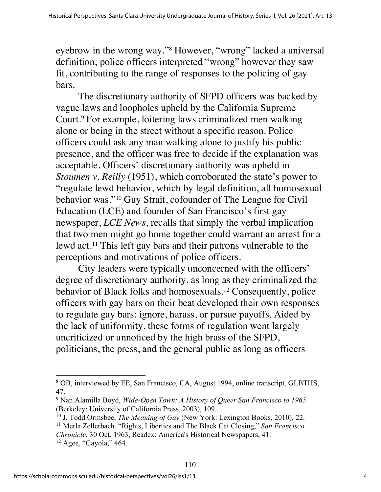eyebrow in the wrong way."8 However, "wrong" lacked a universal definition; police officers interpreted "wrong" however they saw fit, contributing to the range of responses to the policing of gay bars.

The discretionary authority of SFPD officers was backed by vague laws and loopholes upheld by the California Supreme Court.9 For example, loitering laws criminalized men walking alone or being in the street without a specific reason. Police officers could ask any man walking alone to justify his public presence, and the officer was free to decide if the explanation was acceptable. Officers' discretionary authority was upheld in *Stoumen v. Reilly* (1951), which corroborated the state's power to "regulate lewd behavior, which by legal definition, all homosexual behavior was."10 Guy Strait, cofounder of The League for Civil Education (LCE) and founder of San Francisco's first gay newspaper, *LCE News*, recalls that simply the verbal implication that two men might go home together could warrant an arrest for a lewd act.11 This left gay bars and their patrons vulnerable to the perceptions and motivations of police officers.

City leaders were typically unconcerned with the officers' degree of discretionary authority, as long as they criminalized the behavior of Black folks and homosexuals.12 Consequently, police officers with gay bars on their beat developed their own responses to regulate gay bars: ignore, harass, or pursue payoffs. Aided by the lack of uniformity, these forms of regulation went largely uncriticized or unnoticed by the high brass of the SFPD, politicians, the press, and the general public as long as officers

<sup>8</sup> OB, interviewed by EE, San Francisco, CA, August 1994, online transcript, GLBTHS, 47.

<sup>9</sup> Nan Alamilla Boyd, *Wide-Open Town: A History of Queer San Francisco to 1965* (Berkeley: University of California Press, 2003), 109.

<sup>10</sup> J. Todd Ormsbee, *The Meaning of Gay* (New York: Lexington Books, 2010), 22.

<sup>11</sup> Merla Zellerbach, "Rights, Liberties and The Black Cat Closing," *San Francisco Chronicle*, 30 Oct. 1963, Readex: America's Historical Newspapers, 41. <sup>12</sup> Agee, "Gayola," 464.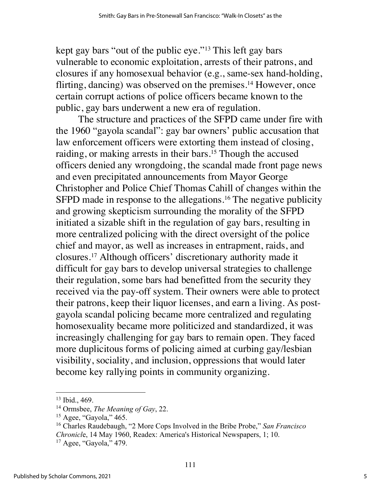kept gay bars "out of the public eye."13 This left gay bars vulnerable to economic exploitation, arrests of their patrons, and closures if any homosexual behavior (e.g., same-sex hand-holding, flirting, dancing) was observed on the premises.<sup>14</sup> However, once certain corrupt actions of police officers became known to the public, gay bars underwent a new era of regulation.

The structure and practices of the SFPD came under fire with the 1960 "gayola scandal": gay bar owners' public accusation that law enforcement officers were extorting them instead of closing, raiding, or making arrests in their bars.<sup>15</sup> Though the accused officers denied any wrongdoing, the scandal made front page news and even precipitated announcements from Mayor George Christopher and Police Chief Thomas Cahill of changes within the SFPD made in response to the allegations.<sup>16</sup> The negative publicity and growing skepticism surrounding the morality of the SFPD initiated a sizable shift in the regulation of gay bars, resulting in more centralized policing with the direct oversight of the police chief and mayor, as well as increases in entrapment, raids, and closures.17 Although officers' discretionary authority made it difficult for gay bars to develop universal strategies to challenge their regulation, some bars had benefitted from the security they received via the pay-off system. Their owners were able to protect their patrons, keep their liquor licenses, and earn a living. As postgayola scandal policing became more centralized and regulating homosexuality became more politicized and standardized, it was increasingly challenging for gay bars to remain open. They faced more duplicitous forms of policing aimed at curbing gay/lesbian visibility, sociality, and inclusion, oppressions that would later become key rallying points in community organizing.

<sup>13</sup> Ibid., 469.

<sup>14</sup> Ormsbee, *The Meaning of Gay*, 22.

 $15$  Agee, "Gayola," 465.

<sup>16</sup> Charles Raudebaugh, "2 More Cops Involved in the Bribe Probe," *San Francisco Chronicl*e, 14 May 1960, Readex: America's Historical Newspapers, 1; 10.

<sup>&</sup>lt;sup>17</sup> Agee, "Gayola," 479.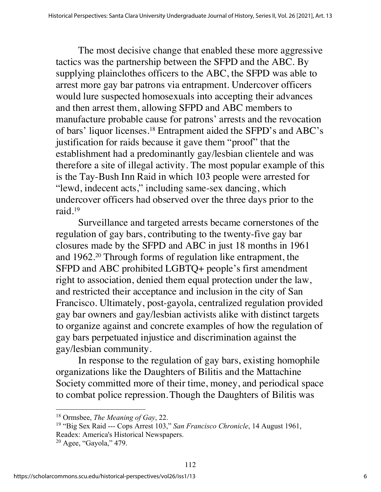The most decisive change that enabled these more aggressive tactics was the partnership between the SFPD and the ABC. By supplying plainclothes officers to the ABC, the SFPD was able to arrest more gay bar patrons via entrapment. Undercover officers would lure suspected homosexuals into accepting their advances and then arrest them, allowing SFPD and ABC members to manufacture probable cause for patrons' arrests and the revocation of bars' liquor licenses.18 Entrapment aided the SFPD's and ABC's justification for raids because it gave them "proof" that the establishment had a predominantly gay/lesbian clientele and was therefore a site of illegal activity. The most popular example of this is the Tay-Bush Inn Raid in which 103 people were arrested for "lewd, indecent acts," including same-sex dancing, which undercover officers had observed over the three days prior to the raid.19

Surveillance and targeted arrests became cornerstones of the regulation of gay bars, contributing to the twenty-five gay bar closures made by the SFPD and ABC in just 18 months in 1961 and 1962.20 Through forms of regulation like entrapment, the SFPD and ABC prohibited LGBTQ+ people's first amendment right to association, denied them equal protection under the law, and restricted their acceptance and inclusion in the city of San Francisco. Ultimately, post-gayola, centralized regulation provided gay bar owners and gay/lesbian activists alike with distinct targets to organize against and concrete examples of how the regulation of gay bars perpetuated injustice and discrimination against the gay/lesbian community.

In response to the regulation of gay bars, existing homophile organizations like the Daughters of Bilitis and the Mattachine Society committed more of their time, money, and periodical space to combat police repression.Though the Daughters of Bilitis was

<sup>18</sup> Ormsbee, *The Meaning of Gay*, 22.

<sup>19</sup> "Big Sex Raid --- Cops Arrest 103," *San Francisco Chronicle*, 14 August 1961, Readex: America's Historical Newspapers.

 $20$  Agee, "Gayola," 479.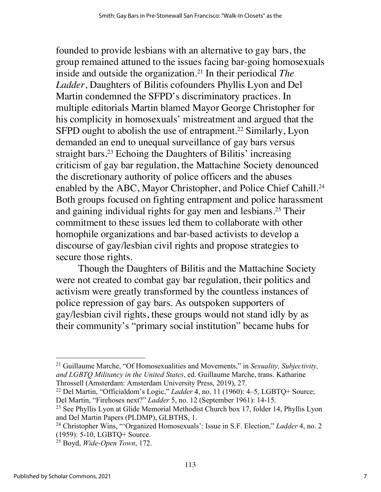founded to provide lesbians with an alternative to gay bars, the group remained attuned to the issues facing bar-going homosexuals inside and outside the organization.21 In their periodical *The Ladder*, Daughters of Bilitis cofounders Phyllis Lyon and Del Martin condemned the SFPD's discriminatory practices. In multiple editorials Martin blamed Mayor George Christopher for his complicity in homosexuals' mistreatment and argued that the SFPD ought to abolish the use of entrapment.<sup>22</sup> Similarly, Lyon demanded an end to unequal surveillance of gay bars versus straight bars.<sup>23</sup> Echoing the Daughters of Bilitis' increasing criticism of gay bar regulation, the Mattachine Society denounced the discretionary authority of police officers and the abuses enabled by the ABC, Mayor Christopher, and Police Chief Cahill.<sup>24</sup> Both groups focused on fighting entrapment and police harassment and gaining individual rights for gay men and lesbians.25 Their commitment to these issues led them to collaborate with other homophile organizations and bar-based activists to develop a discourse of gay/lesbian civil rights and propose strategies to secure those rights.

Though the Daughters of Bilitis and the Mattachine Society were not created to combat gay bar regulation, their politics and activism were greatly transformed by the countless instances of police repression of gay bars. As outspoken supporters of gay/lesbian civil rights, these groups would not stand idly by as their community's "primary social institution" became hubs for

<sup>21</sup> Guillaume Marche, "Of Homosexualities and Movements," in *Sexuality, Subjectivity, and LGBTQ Militancy in the United States*, ed. Guillaume Marche, trans. Katharine Throssell (Amsterdam: Amsterdam University Press, 2019), 27.

<sup>22</sup> Del Martin, "Officialdom's Logic," *Ladder* 4, no. 11 (1960): 4–5, LGBTQ+ Source; Del Martin, "Firehoses next?" *Ladder* 5, no. 12 (September 1961): 14-15.

<sup>&</sup>lt;sup>23</sup> See Phyllis Lyon at Glide Memorial Methodist Church box 17, folder 14, Phyllis Lyon and Del Martin Papers (PLDMP), GLBTHS, 1.

<sup>24</sup> Christopher Wins, "'Organized Homosexuals': Issue in S.F. Election," *Ladder* 4, no. 2 (1959): 5-10, LGBTQ+ Source.

<sup>25</sup> Boyd, *Wide-Open Town*, 172.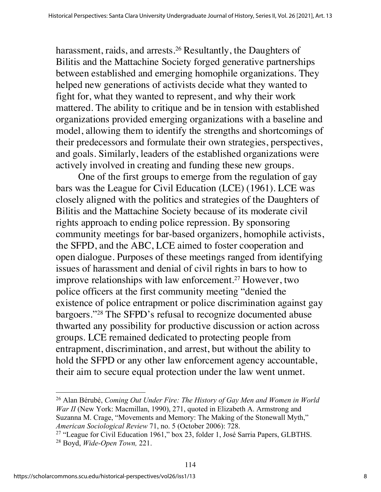harassment, raids, and arrests.<sup>26</sup> Resultantly, the Daughters of Bilitis and the Mattachine Society forged generative partnerships between established and emerging homophile organizations. They helped new generations of activists decide what they wanted to fight for, what they wanted to represent, and why their work mattered. The ability to critique and be in tension with established organizations provided emerging organizations with a baseline and model, allowing them to identify the strengths and shortcomings of their predecessors and formulate their own strategies, perspectives, and goals. Similarly, leaders of the established organizations were actively involved in creating and funding these new groups.

One of the first groups to emerge from the regulation of gay bars was the League for Civil Education (LCE) (1961). LCE was closely aligned with the politics and strategies of the Daughters of Bilitis and the Mattachine Society because of its moderate civil rights approach to ending police repression. By sponsoring community meetings for bar-based organizers, homophile activists, the SFPD, and the ABC, LCE aimed to foster cooperation and open dialogue. Purposes of these meetings ranged from identifying issues of harassment and denial of civil rights in bars to how to improve relationships with law enforcement.27 However, two police officers at the first community meeting "denied the existence of police entrapment or police discrimination against gay bargoers."28 The SFPD's refusal to recognize documented abuse thwarted any possibility for productive discussion or action across groups. LCE remained dedicated to protecting people from entrapment, discrimination, and arrest, but without the ability to hold the SFPD or any other law enforcement agency accountable, their aim to secure equal protection under the law went unmet.

<sup>26</sup> Alan Bérubé, *Coming Out Under Fire: The History of Gay Men and Women in World War II* (New York: Macmillan, 1990), 271, quoted in Elizabeth A. Armstrong and Suzanna M. Crage, "Movements and Memory: The Making of the Stonewall Myth," *American Sociological Review* 71, no. 5 (October 2006): 728.

<sup>27</sup> "League for Civil Education 1961," box 23, folder 1, José Sarria Papers, GLBTHS. <sup>28</sup> Boyd, *Wide-Open Town,* 221.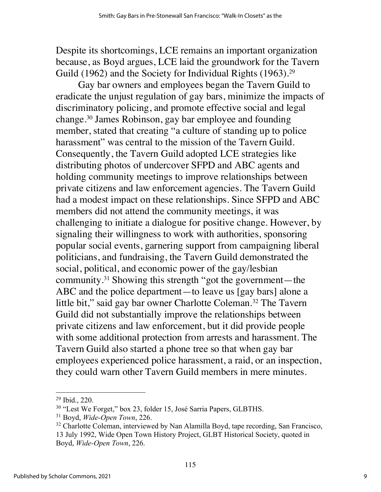Despite its shortcomings, LCE remains an important organization because, as Boyd argues, LCE laid the groundwork for the Tavern Guild (1962) and the Society for Individual Rights (1963).<sup>29</sup>

Gay bar owners and employees began the Tavern Guild to eradicate the unjust regulation of gay bars, minimize the impacts of discriminatory policing, and promote effective social and legal change.30 James Robinson, gay bar employee and founding member, stated that creating "a culture of standing up to police harassment" was central to the mission of the Tavern Guild. Consequently, the Tavern Guild adopted LCE strategies like distributing photos of undercover SFPD and ABC agents and holding community meetings to improve relationships between private citizens and law enforcement agencies. The Tavern Guild had a modest impact on these relationships. Since SFPD and ABC members did not attend the community meetings, it was challenging to initiate a dialogue for positive change. However, by signaling their willingness to work with authorities, sponsoring popular social events, garnering support from campaigning liberal politicians, and fundraising, the Tavern Guild demonstrated the social, political, and economic power of the gay/lesbian community.31 Showing this strength "got the government—the ABC and the police department—to leave us [gay bars] alone a little bit," said gay bar owner Charlotte Coleman.<sup>32</sup> The Tavern Guild did not substantially improve the relationships between private citizens and law enforcement, but it did provide people with some additional protection from arrests and harassment. The Tavern Guild also started a phone tree so that when gay bar employees experienced police harassment, a raid, or an inspection, they could warn other Tavern Guild members in mere minutes.

<sup>29</sup> Ibid., 220.

<sup>30</sup> "Lest We Forget," box 23, folder 15, José Sarria Papers, GLBTHS.

<sup>31</sup> Boyd, *Wide-Open Town*, 226.

<sup>&</sup>lt;sup>32</sup> Charlotte Coleman, interviewed by Nan Alamilla Boyd, tape recording, San Francisco, 13 July 1992, Wide Open Town History Project, GLBT Historical Society, quoted in Boyd, *Wide-Open Town*, 226.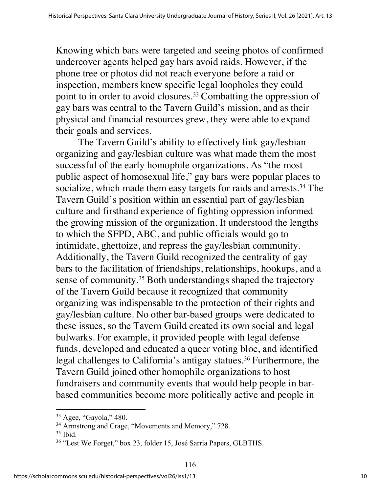Knowing which bars were targeted and seeing photos of confirmed undercover agents helped gay bars avoid raids. However, if the phone tree or photos did not reach everyone before a raid or inspection, members knew specific legal loopholes they could point to in order to avoid closures.<sup>33</sup> Combatting the oppression of gay bars was central to the Tavern Guild's mission, and as their physical and financial resources grew, they were able to expand their goals and services.

The Tavern Guild's ability to effectively link gay/lesbian organizing and gay/lesbian culture was what made them the most successful of the early homophile organizations. As "the most public aspect of homosexual life," gay bars were popular places to socialize, which made them easy targets for raids and arrests.<sup>34</sup> The Tavern Guild's position within an essential part of gay/lesbian culture and firsthand experience of fighting oppression informed the growing mission of the organization. It understood the lengths to which the SFPD, ABC, and public officials would go to intimidate, ghettoize, and repress the gay/lesbian community. Additionally, the Tavern Guild recognized the centrality of gay bars to the facilitation of friendships, relationships, hookups, and a sense of community.<sup>35</sup> Both understandings shaped the trajectory of the Tavern Guild because it recognized that community organizing was indispensable to the protection of their rights and gay/lesbian culture. No other bar-based groups were dedicated to these issues, so the Tavern Guild created its own social and legal bulwarks. For example, it provided people with legal defense funds, developed and educated a queer voting bloc, and identified legal challenges to California's antigay statues.<sup>36</sup> Furthermore, the Tavern Guild joined other homophile organizations to host fundraisers and community events that would help people in barbased communities become more politically active and people in

<sup>33</sup> Agee, "Gayola," 480.

<sup>&</sup>lt;sup>34</sup> Armstrong and Crage, "Movements and Memory," 728.

 $35$  Ibid.

<sup>36</sup> "Lest We Forget," box 23, folder 15, José Sarria Papers, GLBTHS.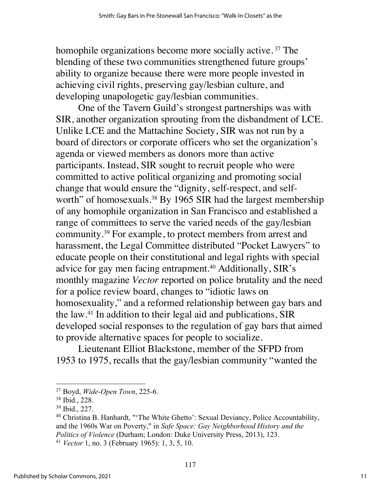homophile organizations become more socially active.<sup>37</sup> The blending of these two communities strengthened future groups' ability to organize because there were more people invested in achieving civil rights, preserving gay/lesbian culture, and developing unapologetic gay/lesbian communities.

One of the Tavern Guild's strongest partnerships was with SIR, another organization sprouting from the disbandment of LCE. Unlike LCE and the Mattachine Society, SIR was not run by a board of directors or corporate officers who set the organization's agenda or viewed members as donors more than active participants. Instead, SIR sought to recruit people who were committed to active political organizing and promoting social change that would ensure the "dignity, self-respect, and selfworth" of homosexuals.<sup>38</sup> By 1965 SIR had the largest membership of any homophile organization in San Francisco and established a range of committees to serve the varied needs of the gay/lesbian community.39 For example, to protect members from arrest and harassment, the Legal Committee distributed "Pocket Lawyers" to educate people on their constitutional and legal rights with special advice for gay men facing entrapment.<sup>40</sup> Additionally, SIR's monthly magazine *Vector* reported on police brutality and the need for a police review board, changes to "idiotic laws on homosexuality," and a reformed relationship between gay bars and the law.41 In addition to their legal aid and publications, SIR developed social responses to the regulation of gay bars that aimed to provide alternative spaces for people to socialize.

Lieutenant Elliot Blackstone, member of the SFPD from 1953 to 1975, recalls that the gay/lesbian community "wanted the

<sup>37</sup> Boyd, *Wide-Open Town*, 225-6.

<sup>38</sup> Ibid., 228.

<sup>39</sup> Ibid., 227.

<sup>&</sup>lt;sup>40</sup> Christina B. Hanhardt, "'The White Ghetto': Sexual Deviancy, Police Accountability, and the 1960s War on Poverty," in *Safe Space: Gay Neighborhood History and the Politics of Violence* (Durham; London: Duke University Press, 2013), 123.

<sup>41</sup> *Vector* 1, no. 3 (February 1965): 1, 3, 5, 10.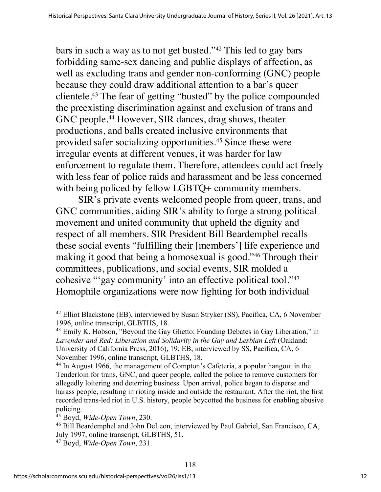bars in such a way as to not get busted."42 This led to gay bars forbidding same-sex dancing and public displays of affection, as well as excluding trans and gender non-conforming (GNC) people because they could draw additional attention to a bar's queer clientele.43 The fear of getting "busted" by the police compounded the preexisting discrimination against and exclusion of trans and GNC people.<sup>44</sup> However, SIR dances, drag shows, theater productions, and balls created inclusive environments that provided safer socializing opportunities.45 Since these were irregular events at different venues, it was harder for law enforcement to regulate them. Therefore, attendees could act freely with less fear of police raids and harassment and be less concerned with being policed by fellow LGBTQ+ community members.

SIR's private events welcomed people from queer, trans, and GNC communities, aiding SIR's ability to forge a strong political movement and united community that upheld the dignity and respect of all members. SIR President Bill Beardemphel recalls these social events "fulfilling their [members'] life experience and making it good that being a homosexual is good."46 Through their committees, publications, and social events, SIR molded a cohesive "'gay community' into an effective political tool."47 Homophile organizations were now fighting for both individual

<sup>&</sup>lt;sup>42</sup> Elliot Blackstone (EB), interviewed by Susan Stryker (SS), Pacifica, CA, 6 November 1996, online transcript, GLBTHS, 18.

<sup>&</sup>lt;sup>43</sup> Emily K. Hobson, "Beyond the Gay Ghetto: Founding Debates in Gay Liberation," in *Lavender and Red: Liberation and Solidarity in the Gay and Lesbian Left* (Oakland: University of California Press, 2016), 19; EB, interviewed by SS, Pacifica, CA, 6 November 1996, online transcript, GLBTHS, 18.

<sup>44</sup> In August 1966, the management of Compton's Cafeteria, a popular hangout in the Tenderloin for trans, GNC, and queer people, called the police to remove customers for allegedly loitering and deterring business. Upon arrival, police began to disperse and harass people, resulting in rioting inside and outside the restaurant. After the riot, the first recorded trans-led riot in U.S. history, people boycotted the business for enabling abusive policing.

<sup>45</sup> Boyd, *Wide-Open Town*, 230.

<sup>46</sup> Bill Beardemphel and John DeLeon, interviewed by Paul Gabriel, San Francisco, CA, July 1997, online transcript, GLBTHS, 51.

<sup>47</sup> Boyd, *Wide-Open Town*, 231.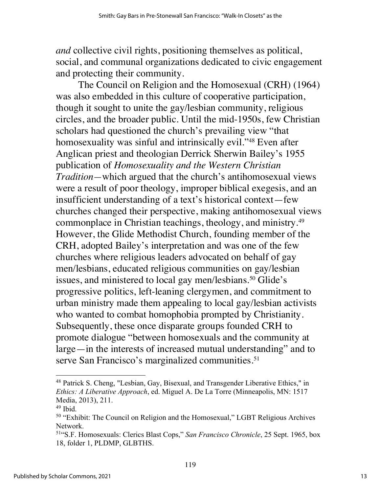*and* collective civil rights, positioning themselves as political, social, and communal organizations dedicated to civic engagement and protecting their community.

The Council on Religion and the Homosexual (CRH) (1964) was also embedded in this culture of cooperative participation, though it sought to unite the gay/lesbian community, religious circles, and the broader public. Until the mid-1950s, few Christian scholars had questioned the church's prevailing view "that homosexuality was sinful and intrinsically evil."<sup>48</sup> Even after Anglican priest and theologian Derrick Sherwin Bailey's 1955 publication of *Homosexuality and the Western Christian Tradition—*which argued that the church's antihomosexual views were a result of poor theology, improper biblical exegesis, and an insufficient understanding of a text's historical context—few churches changed their perspective, making antihomosexual views commonplace in Christian teachings, theology, and ministry.49 However, the Glide Methodist Church, founding member of the CRH, adopted Bailey's interpretation and was one of the few churches where religious leaders advocated on behalf of gay men/lesbians, educated religious communities on gay/lesbian issues, and ministered to local gay men/lesbians.<sup>50</sup> Glide's progressive politics, left-leaning clergymen, and commitment to urban ministry made them appealing to local gay/lesbian activists who wanted to combat homophobia prompted by Christianity. Subsequently, these once disparate groups founded CRH to promote dialogue "between homosexuals and the community at large—in the interests of increased mutual understanding" and to serve San Francisco's marginalized communities.<sup>51</sup>

<sup>48</sup> Patrick S. Cheng, "Lesbian, Gay, Bisexual, and Transgender Liberative Ethics," in *Ethics: A Liberative Approach*, ed. Miguel A. De La Torre (Minneapolis, MN: 1517 Media, 2013), 211.

 $49$  Ibid.

<sup>50</sup> "Exhibit: The Council on Religion and the Homosexual," LGBT Religious Archives Network.

<sup>51&</sup>quot;S.F. Homosexuals: Clerics Blast Cops," *San Francisco Chronicle*, 25 Sept. 1965, box 18, folder 1, PLDMP, GLBTHS.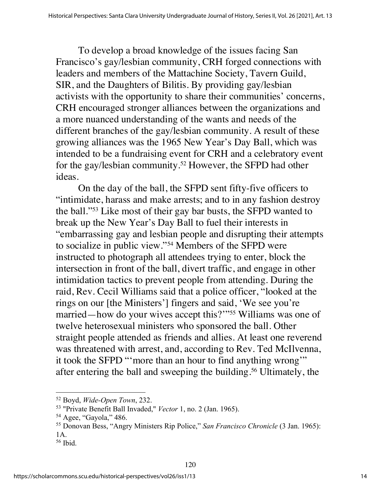To develop a broad knowledge of the issues facing San Francisco's gay/lesbian community, CRH forged connections with leaders and members of the Mattachine Society, Tavern Guild, SIR, and the Daughters of Bilitis. By providing gay/lesbian activists with the opportunity to share their communities' concerns, CRH encouraged stronger alliances between the organizations and a more nuanced understanding of the wants and needs of the different branches of the gay/lesbian community. A result of these growing alliances was the 1965 New Year's Day Ball, which was intended to be a fundraising event for CRH and a celebratory event for the gay/lesbian community.<sup>52</sup> However, the SFPD had other ideas.

On the day of the ball, the SFPD sent fifty-five officers to "intimidate, harass and make arrests; and to in any fashion destroy the ball."53 Like most of their gay bar busts, the SFPD wanted to break up the New Year's Day Ball to fuel their interests in "embarrassing gay and lesbian people and disrupting their attempts to socialize in public view."54 Members of the SFPD were instructed to photograph all attendees trying to enter, block the intersection in front of the ball, divert traffic, and engage in other intimidation tactics to prevent people from attending. During the raid, Rev. Cecil Williams said that a police officer, "looked at the rings on our [the Ministers'] fingers and said, 'We see you're married—how do your wives accept this?'"55 Williams was one of twelve heterosexual ministers who sponsored the ball. Other straight people attended as friends and allies. At least one reverend was threatened with arrest, and, according to Rev. Ted McIlvenna, it took the SFPD "'more than an hour to find anything wrong'" after entering the ball and sweeping the building.56 Ultimately, the

<sup>52</sup> Boyd, *Wide-Open Town*, 232.

<sup>53</sup> "Private Benefit Ball Invaded," *Vector* 1, no. 2 (Jan. 1965).

<sup>54</sup> Agee, "Gayola," 486.

<sup>55</sup> Donovan Bess, "Angry Ministers Rip Police," *San Francisco Chronicle* (3 Jan. 1965): 1A.

<sup>56</sup> Ibid.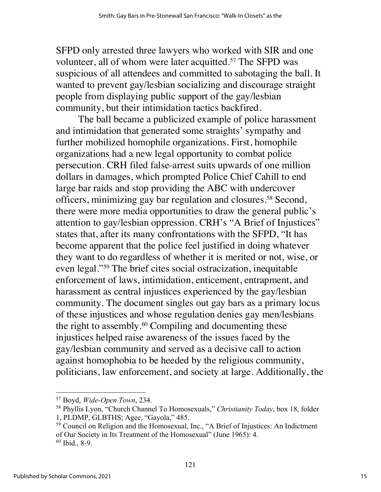SFPD only arrested three lawyers who worked with SIR and one volunteer, all of whom were later acquitted.<sup>57</sup> The SFPD was suspicious of all attendees and committed to sabotaging the ball. It wanted to prevent gay/lesbian socializing and discourage straight people from displaying public support of the gay/lesbian community, but their intimidation tactics backfired.

The ball became a publicized example of police harassment and intimidation that generated some straights' sympathy and further mobilized homophile organizations. First, homophile organizations had a new legal opportunity to combat police persecution. CRH filed false-arrest suits upwards of one million dollars in damages, which prompted Police Chief Cahill to end large bar raids and stop providing the ABC with undercover officers, minimizing gay bar regulation and closures.58 Second, there were more media opportunities to draw the general public's attention to gay/lesbian oppression. CRH's "A Brief of Injustices" states that, after its many confrontations with the SFPD, "It has become apparent that the police feel justified in doing whatever they want to do regardless of whether it is merited or not, wise, or even legal."59 The brief cites social ostracization, inequitable enforcement of laws, intimidation, enticement, entrapment, and harassment as central injustices experienced by the gay/lesbian community. The document singles out gay bars as a primary locus of these injustices and whose regulation denies gay men/lesbians the right to assembly.<sup>60</sup> Compiling and documenting these injustices helped raise awareness of the issues faced by the gay/lesbian community and served as a decisive call to action against homophobia to be heeded by the religious community, politicians, law enforcement, and society at large. Additionally, the

<sup>57</sup> Boyd, *Wide-Open Town*, 234.

<sup>58</sup> Phyllis Lyon, "Church Channel To Homosexuals," *Christianity Today*, box 18, folder 1, PLDMP, GLBTHS; Agee, "Gayola," 485.

<sup>59</sup> Council on Religion and the Homosexual, Inc., "A Brief of Injustices: An Indictment of Our Society in Its Treatment of the Homosexual" (June 1965): 4. <sup>60</sup> Ibid., 8-9.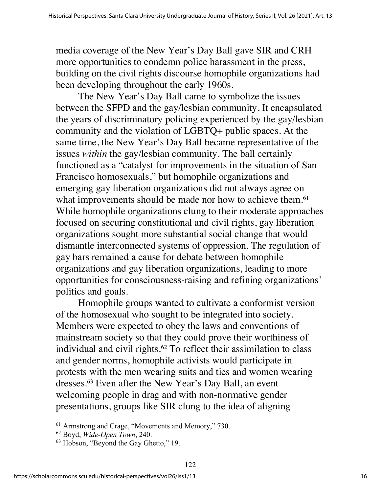media coverage of the New Year's Day Ball gave SIR and CRH more opportunities to condemn police harassment in the press, building on the civil rights discourse homophile organizations had been developing throughout the early 1960s.

The New Year's Day Ball came to symbolize the issues between the SFPD and the gay/lesbian community. It encapsulated the years of discriminatory policing experienced by the gay/lesbian community and the violation of LGBTQ+ public spaces. At the same time, the New Year's Day Ball became representative of the issues *within* the gay/lesbian community. The ball certainly functioned as a "catalyst for improvements in the situation of San Francisco homosexuals," but homophile organizations and emerging gay liberation organizations did not always agree on what improvements should be made nor how to achieve them.<sup>61</sup> While homophile organizations clung to their moderate approaches focused on securing constitutional and civil rights, gay liberation organizations sought more substantial social change that would dismantle interconnected systems of oppression. The regulation of gay bars remained a cause for debate between homophile organizations and gay liberation organizations, leading to more opportunities for consciousness-raising and refining organizations' politics and goals.

Homophile groups wanted to cultivate a conformist version of the homosexual who sought to be integrated into society. Members were expected to obey the laws and conventions of mainstream society so that they could prove their worthiness of individual and civil rights.<sup>62</sup> To reflect their assimilation to class and gender norms, homophile activists would participate in protests with the men wearing suits and ties and women wearing dresses.63 Even after the New Year's Day Ball, an event welcoming people in drag and with non-normative gender presentations, groups like SIR clung to the idea of aligning

<sup>61</sup> Armstrong and Crage, "Movements and Memory," 730.

<sup>62</sup> Boyd, *Wide-Open Town*, 240.

<sup>63</sup> Hobson, "Beyond the Gay Ghetto," 19.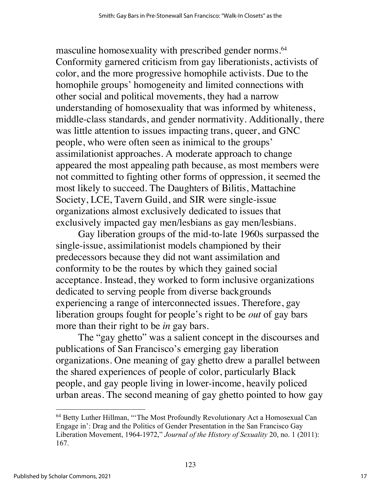masculine homosexuality with prescribed gender norms.<sup>64</sup> Conformity garnered criticism from gay liberationists, activists of color, and the more progressive homophile activists. Due to the homophile groups' homogeneity and limited connections with other social and political movements, they had a narrow understanding of homosexuality that was informed by whiteness, middle-class standards, and gender normativity. Additionally, there was little attention to issues impacting trans, queer, and GNC people, who were often seen as inimical to the groups' assimilationist approaches. A moderate approach to change appeared the most appealing path because, as most members were not committed to fighting other forms of oppression, it seemed the most likely to succeed. The Daughters of Bilitis, Mattachine Society, LCE, Tavern Guild, and SIR were single-issue organizations almost exclusively dedicated to issues that exclusively impacted gay men/lesbians as gay men/lesbians.

Gay liberation groups of the mid-to-late 1960s surpassed the single-issue, assimilationist models championed by their predecessors because they did not want assimilation and conformity to be the routes by which they gained social acceptance. Instead, they worked to form inclusive organizations dedicated to serving people from diverse backgrounds experiencing a range of interconnected issues. Therefore, gay liberation groups fought for people's right to be *out* of gay bars more than their right to be *in* gay bars.

The "gay ghetto" was a salient concept in the discourses and publications of San Francisco's emerging gay liberation organizations. One meaning of gay ghetto drew a parallel between the shared experiences of people of color, particularly Black people, and gay people living in lower-income, heavily policed urban areas. The second meaning of gay ghetto pointed to how gay

<sup>64</sup> Betty Luther Hillman, "'The Most Profoundly Revolutionary Act a Homosexual Can Engage in': Drag and the Politics of Gender Presentation in the San Francisco Gay Liberation Movement, 1964-1972," *Journal of the History of Sexuality* 20, no. 1 (2011): 167.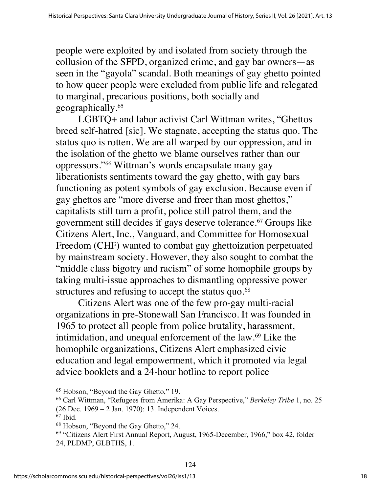people were exploited by and isolated from society through the collusion of the SFPD, organized crime, and gay bar owners—as seen in the "gayola" scandal. Both meanings of gay ghetto pointed to how queer people were excluded from public life and relegated to marginal, precarious positions, both socially and geographically.65

LGBTQ+ and labor activist Carl Wittman writes, "Ghettos breed self-hatred [sic]. We stagnate, accepting the status quo. The status quo is rotten. We are all warped by our oppression, and in the isolation of the ghetto we blame ourselves rather than our oppressors."66 Wittman's words encapsulate many gay liberationists sentiments toward the gay ghetto, with gay bars functioning as potent symbols of gay exclusion. Because even if gay ghettos are "more diverse and freer than most ghettos," capitalists still turn a profit, police still patrol them, and the government still decides if gays deserve tolerance.<sup>67</sup> Groups like Citizens Alert, Inc., Vanguard, and Committee for Homosexual Freedom (CHF) wanted to combat gay ghettoization perpetuated by mainstream society. However, they also sought to combat the "middle class bigotry and racism" of some homophile groups by taking multi-issue approaches to dismantling oppressive power structures and refusing to accept the status quo.<sup>68</sup>

Citizens Alert was one of the few pro-gay multi-racial organizations in pre-Stonewall San Francisco. It was founded in 1965 to protect all people from police brutality, harassment, intimidation, and unequal enforcement of the law.69 Like the homophile organizations, Citizens Alert emphasized civic education and legal empowerment, which it promoted via legal advice booklets and a 24-hour hotline to report police

<sup>65</sup> Hobson, "Beyond the Gay Ghetto," 19.

<sup>66</sup> Carl Wittman, "Refugees from Amerika: A Gay Perspective," *Berkeley Tribe* 1, no. 25 (26 Dec. 1969 – 2 Jan. 1970): 13. Independent Voices.

 $67$  Ibid.

<sup>68</sup> Hobson, "Beyond the Gay Ghetto," 24.

<sup>69</sup> "Citizens Alert First Annual Report, August, 1965-December, 1966," box 42, folder 24, PLDMP, GLBTHS, 1.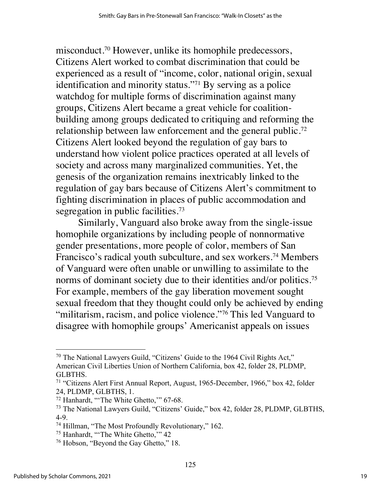misconduct.70 However, unlike its homophile predecessors, Citizens Alert worked to combat discrimination that could be experienced as a result of "income, color, national origin, sexual identification and minority status."71 By serving as a police watchdog for multiple forms of discrimination against many groups, Citizens Alert became a great vehicle for coalitionbuilding among groups dedicated to critiquing and reforming the relationship between law enforcement and the general public.<sup>72</sup> Citizens Alert looked beyond the regulation of gay bars to understand how violent police practices operated at all levels of society and across many marginalized communities. Yet, the genesis of the organization remains inextricably linked to the regulation of gay bars because of Citizens Alert's commitment to fighting discrimination in places of public accommodation and segregation in public facilities.<sup>73</sup>

Similarly, Vanguard also broke away from the single-issue homophile organizations by including people of nonnormative gender presentations, more people of color, members of San Francisco's radical youth subculture, and sex workers.<sup>74</sup> Members of Vanguard were often unable or unwilling to assimilate to the norms of dominant society due to their identities and/or politics.<sup>75</sup> For example, members of the gay liberation movement sought sexual freedom that they thought could only be achieved by ending "militarism, racism, and police violence."<sup>76</sup> This led Vanguard to disagree with homophile groups' Americanist appeals on issues

<sup>75</sup> Hanhardt, "'The White Ghetto,'" 42

<sup>70</sup> The National Lawyers Guild, "Citizens' Guide to the 1964 Civil Rights Act," American Civil Liberties Union of Northern California, box 42, folder 28, PLDMP, GLBTHS.

<sup>71</sup> "Citizens Alert First Annual Report, August, 1965-December, 1966," box 42, folder 24, PLDMP, GLBTHS, 1.

<sup>72</sup> Hanhardt, "'The White Ghetto,'" 67-68.

<sup>73</sup> The National Lawyers Guild, "Citizens' Guide," box 42, folder 28, PLDMP, GLBTHS, 4-9.

<sup>74</sup> Hillman, "The Most Profoundly Revolutionary," 162.

<sup>76</sup> Hobson, "Beyond the Gay Ghetto," 18.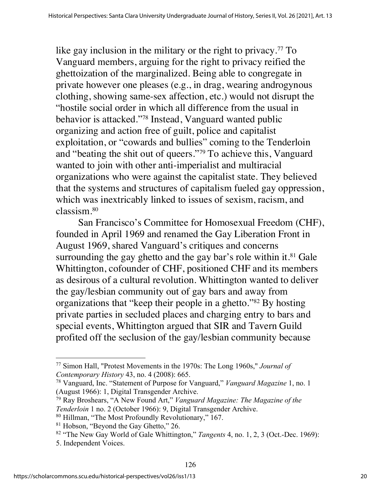like gay inclusion in the military or the right to privacy.<sup>77</sup> To Vanguard members, arguing for the right to privacy reified the ghettoization of the marginalized. Being able to congregate in private however one pleases (e.g., in drag, wearing androgynous clothing, showing same-sex affection, etc.) would not disrupt the "hostile social order in which all difference from the usual in behavior is attacked."78 Instead, Vanguard wanted public organizing and action free of guilt, police and capitalist exploitation, or "cowards and bullies" coming to the Tenderloin and "beating the shit out of queers."79 To achieve this, Vanguard wanted to join with other anti-imperialist and multiracial organizations who were against the capitalist state. They believed that the systems and structures of capitalism fueled gay oppression, which was inextricably linked to issues of sexism, racism, and classism.80

San Francisco's Committee for Homosexual Freedom (CHF), founded in April 1969 and renamed the Gay Liberation Front in August 1969, shared Vanguard's critiques and concerns surrounding the gay ghetto and the gay bar's role within it. $81$  Gale Whittington, cofounder of CHF, positioned CHF and its members as desirous of a cultural revolution. Whittington wanted to deliver the gay/lesbian community out of gay bars and away from organizations that "keep their people in a ghetto."82 By hosting private parties in secluded places and charging entry to bars and special events, Whittington argued that SIR and Tavern Guild profited off the seclusion of the gay/lesbian community because

<sup>77</sup> Simon Hall, "Protest Movements in the 1970s: The Long 1960s," *Journal of Contemporary History* 43, no. 4 (2008): 665.

<sup>78</sup> Vanguard, Inc. "Statement of Purpose for Vanguard," *Vanguard Magazine* 1, no. 1 (August 1966): 1, Digital Transgender Archive.

<sup>79</sup> Ray Broshears, "A New Found Art," *Vanguard Magazine: The Magazine of the Tenderloin* 1 no. 2 (October 1966): 9, Digital Transgender Archive. <sup>80</sup> Hillman, "The Most Profoundly Revolutionary," 167.

<sup>&</sup>lt;sup>81</sup> Hobson, "Beyond the Gay Ghetto," 26.

<sup>82</sup> "The New Gay World of Gale Whittington," *Tangents* 4, no. 1, 2, 3 (Oct.-Dec. 1969): 5. Independent Voices.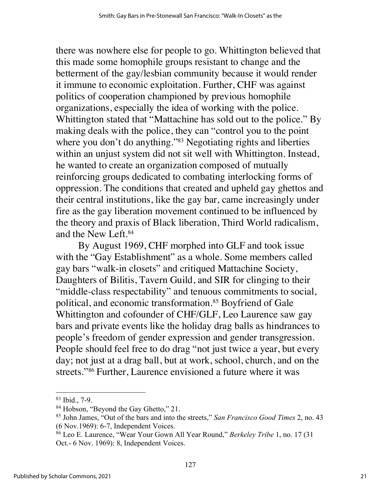there was nowhere else for people to go. Whittington believed that this made some homophile groups resistant to change and the betterment of the gay/lesbian community because it would render it immune to economic exploitation. Further, CHF was against politics of cooperation championed by previous homophile organizations, especially the idea of working with the police. Whittington stated that "Mattachine has sold out to the police." By making deals with the police, they can "control you to the point where you don't do anything."<sup>83</sup> Negotiating rights and liberties within an unjust system did not sit well with Whittington. Instead, he wanted to create an organization composed of mutually reinforcing groups dedicated to combating interlocking forms of oppression. The conditions that created and upheld gay ghettos and their central institutions, like the gay bar, came increasingly under fire as the gay liberation movement continued to be influenced by the theory and praxis of Black liberation, Third World radicalism, and the New Left.84

By August 1969, CHF morphed into GLF and took issue with the "Gay Establishment" as a whole. Some members called gay bars "walk-in closets" and critiqued Mattachine Society, Daughters of Bilitis, Tavern Guild, and SIR for clinging to their "middle-class respectability" and tenuous commitments to social, political, and economic transformation.85 Boyfriend of Gale Whittington and cofounder of CHF/GLF, Leo Laurence saw gay bars and private events like the holiday drag balls as hindrances to people's freedom of gender expression and gender transgression. People should feel free to do drag "not just twice a year, but every day; not just at a drag ball, but at work, school, church, and on the streets."86 Further, Laurence envisioned a future where it was

<sup>83</sup> Ibid., 7-9.

<sup>84</sup> Hobson, "Beyond the Gay Ghetto," 21.

<sup>85</sup> John James, "Out of the bars and into the streets," *San Francisco Good Times* 2, no. 43 (6 Nov.1969): 6-7, Independent Voices.

<sup>86</sup> Leo E. Laurence, "Wear Your Gown All Year Round," *Berkeley Tribe* 1, no. 17 (31 Oct.- 6 Nov. 1969): 8, Independent Voices.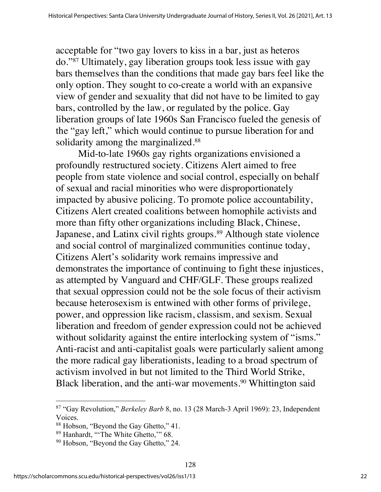acceptable for "two gay lovers to kiss in a bar, just as heteros do."87 Ultimately, gay liberation groups took less issue with gay bars themselves than the conditions that made gay bars feel like the only option. They sought to co-create a world with an expansive view of gender and sexuality that did not have to be limited to gay bars, controlled by the law, or regulated by the police. Gay liberation groups of late 1960s San Francisco fueled the genesis of the "gay left," which would continue to pursue liberation for and solidarity among the marginalized.<sup>88</sup>

Mid-to-late 1960s gay rights organizations envisioned a profoundly restructured society. Citizens Alert aimed to free people from state violence and social control, especially on behalf of sexual and racial minorities who were disproportionately impacted by abusive policing. To promote police accountability, Citizens Alert created coalitions between homophile activists and more than fifty other organizations including Black, Chinese, Japanese, and Latinx civil rights groups.<sup>89</sup> Although state violence and social control of marginalized communities continue today, Citizens Alert's solidarity work remains impressive and demonstrates the importance of continuing to fight these injustices, as attempted by Vanguard and CHF/GLF. These groups realized that sexual oppression could not be the sole focus of their activism because heterosexism is entwined with other forms of privilege, power, and oppression like racism, classism, and sexism. Sexual liberation and freedom of gender expression could not be achieved without solidarity against the entire interlocking system of "isms." Anti-racist and anti-capitalist goals were particularly salient among the more radical gay liberationists, leading to a broad spectrum of activism involved in but not limited to the Third World Strike, Black liberation, and the anti-war movements.<sup>90</sup> Whittington said

<sup>87</sup> "Gay Revolution," *Berkeley Barb* 8, no. 13 (28 March-3 April 1969): 23, Independent Voices.

<sup>88</sup> Hobson, "Beyond the Gay Ghetto," 41.

<sup>89</sup> Hanhardt, "'The White Ghetto,'" 68.

<sup>&</sup>lt;sup>90</sup> Hobson, "Beyond the Gay Ghetto," 24.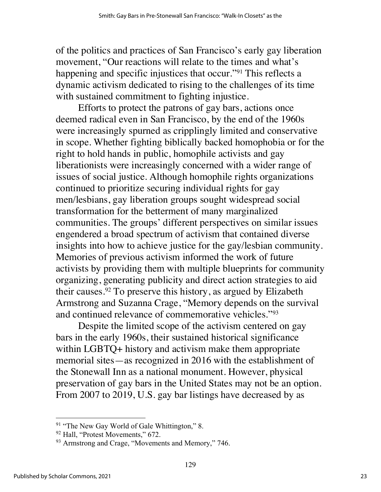of the politics and practices of San Francisco's early gay liberation movement, "Our reactions will relate to the times and what's happening and specific injustices that occur."<sup>91</sup> This reflects a dynamic activism dedicated to rising to the challenges of its time with sustained commitment to fighting injustice.

Efforts to protect the patrons of gay bars, actions once deemed radical even in San Francisco, by the end of the 1960s were increasingly spurned as cripplingly limited and conservative in scope. Whether fighting biblically backed homophobia or for the right to hold hands in public, homophile activists and gay liberationists were increasingly concerned with a wider range of issues of social justice. Although homophile rights organizations continued to prioritize securing individual rights for gay men/lesbians, gay liberation groups sought widespread social transformation for the betterment of many marginalized communities. The groups' different perspectives on similar issues engendered a broad spectrum of activism that contained diverse insights into how to achieve justice for the gay/lesbian community. Memories of previous activism informed the work of future activists by providing them with multiple blueprints for community organizing, generating publicity and direct action strategies to aid their causes.92 To preserve this history, as argued by Elizabeth Armstrong and Suzanna Crage, "Memory depends on the survival and continued relevance of commemorative vehicles."93

Despite the limited scope of the activism centered on gay bars in the early 1960s, their sustained historical significance within LGBTQ+ history and activism make them appropriate memorial sites—as recognized in 2016 with the establishment of the Stonewall Inn as a national monument. However, physical preservation of gay bars in the United States may not be an option. From 2007 to 2019, U.S. gay bar listings have decreased by as

<sup>&</sup>lt;sup>91</sup> "The New Gay World of Gale Whittington," 8.

<sup>&</sup>lt;sup>92</sup> Hall, "Protest Movements," 672.

<sup>&</sup>lt;sup>93</sup> Armstrong and Crage, "Movements and Memory," 746.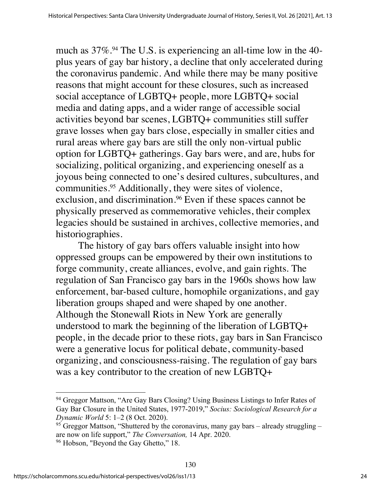much as  $37\%$ .<sup>94</sup> The U.S. is experiencing an all-time low in the 40plus years of gay bar history, a decline that only accelerated during the coronavirus pandemic. And while there may be many positive reasons that might account for these closures, such as increased social acceptance of LGBTQ+ people, more LGBTQ+ social media and dating apps, and a wider range of accessible social activities beyond bar scenes, LGBTQ+ communities still suffer grave losses when gay bars close, especially in smaller cities and rural areas where gay bars are still the only non-virtual public option for LGBTQ+ gatherings. Gay bars were, and are, hubs for socializing, political organizing, and experiencing oneself as a joyous being connected to one's desired cultures, subcultures, and communities.95 Additionally, they were sites of violence, exclusion, and discrimination.<sup>96</sup> Even if these spaces cannot be physically preserved as commemorative vehicles, their complex legacies should be sustained in archives, collective memories, and historiographies.

The history of gay bars offers valuable insight into how oppressed groups can be empowered by their own institutions to forge community, create alliances, evolve, and gain rights. The regulation of San Francisco gay bars in the 1960s shows how law enforcement, bar-based culture, homophile organizations, and gay liberation groups shaped and were shaped by one another. Although the Stonewall Riots in New York are generally understood to mark the beginning of the liberation of LGBTQ+ people, in the decade prior to these riots, gay bars in San Francisco were a generative locus for political debate, community-based organizing, and consciousness-raising. The regulation of gay bars was a key contributor to the creation of new LGBTQ+

<sup>&</sup>lt;sup>94</sup> Greggor Mattson, "Are Gay Bars Closing? Using Business Listings to Infer Rates of Gay Bar Closure in the United States, 1977-2019," *Socius: Sociological Research for a Dynamic World* 5: 1–2 (8 Oct. 2020).

 $95$  Greggor Mattson, "Shuttered by the coronavirus, many gay bars – already struggling – are now on life support," *The Conversation,* 14 Apr. 2020.

<sup>&</sup>lt;sup>96</sup> Hobson, "Beyond the Gay Ghetto," 18.